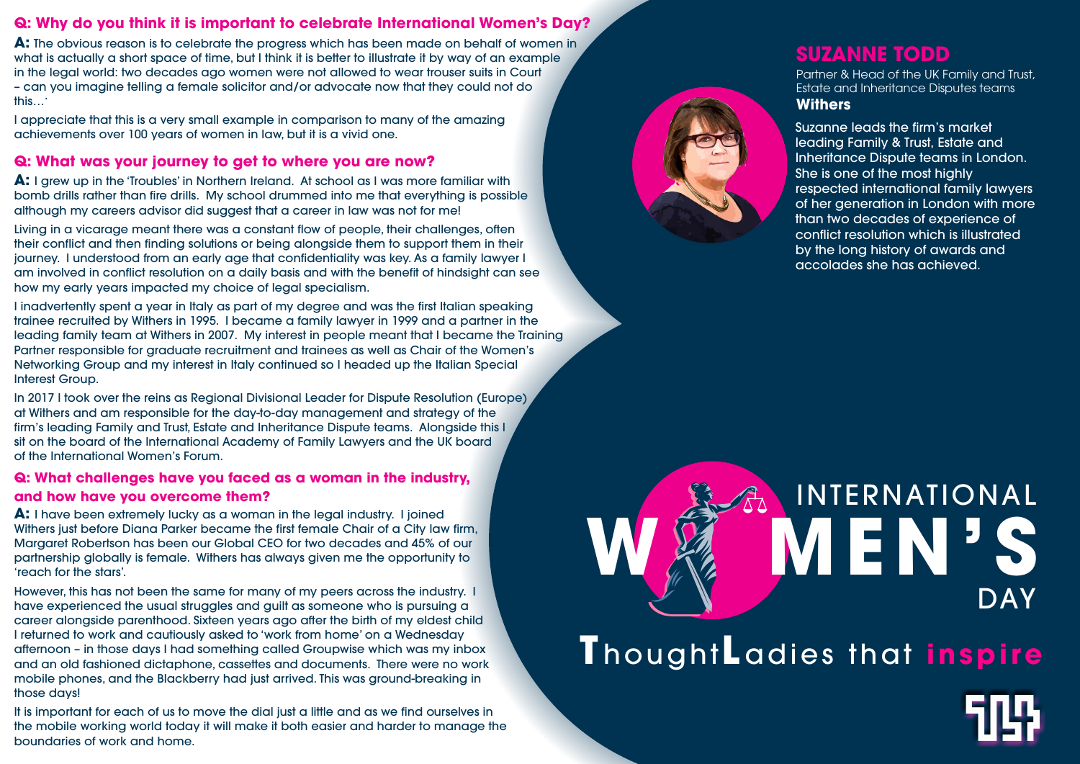#### **Q: Why do you think it is important to celebrate International Women's Day?**

**A:** The obvious reason is to celebrate the progress which has been made on behalf of women in what is actually a short space of time, but I think it is better to illustrate it by way of an example in the legal world: two decades ago women were not allowed to wear trouser suits in Court – can you imagine telling a female solicitor and/or advocate now that they could not do this….

I appreciate that this is a very small example in comparison to many of the amazing achievements over 100 years of women in law, but it is a vivid one.

#### **Q: What was your journey to get to where you are now?**

**A:** I grew up in the 'Troubles' in Northern Ireland. At school as I was more familiar with bomb drills rather than fire drills. My school drummed into me that everything is possible although my careers advisor did suggest that a career in law was not for me!

In 2017 I took over the reins as Regional Divisional Leader for Dispute Resolution (Europe) at Withers and am responsible for the day-to-day management and strategy of the firm's leading Family and Trust, Estate and Inheritance Dispute teams. Alongside this I sit on the board of the International Academy of Family Lawyers and the UK board of the International Women's Forum.

Living in a vicarage meant there was a constant flow of people, their challenges, often their conflict and then finding solutions or being alongside them to support them in their journey. I understood from an early age that confidentiality was key. As a family lawyer I am involved in conflict resolution on a daily basis and with the benefit of hindsight can see how my early years impacted my choice of legal specialism.

I inadvertently spent a year in Italy as part of my degree and was the first Italian speaking trainee recruited by Withers in 1995. I became a family lawyer in 1999 and a partner in the leading family team at Withers in 2007. My interest in people meant that I became the Training Partner responsible for graduate recruitment and trainees as well as Chair of the Women's Networking Group and my interest in Italy continued so I headed up the Italian Special Interest Group.

# **WEN** INTERNATIONAL **T** hought**L** adies that **inspire** DAY

#### **Q: What challenges have you faced as a woman in the industry, and how have you overcome them?**

**A:** I have been extremely lucky as a woman in the legal industry. I joined Withers just before Diana Parker became the first female Chair of a City law firm, Margaret Robertson has been our Global CEO for two decades and 45% of our partnership globally is female. Withers has always given me the opportunity to 'reach for the stars'.

However, this has not been the same for many of my peers across the industry. I have experienced the usual struggles and guilt as someone who is pursuing a career alongside parenthood. Sixteen years ago after the birth of my eldest child I returned to work and cautiously asked to 'work from home' on a Wednesday afternoon – in those days I had something called Groupwise which was my inbox and an old fashioned dictaphone, cassettes and documents. There were no work mobile phones, and the Blackberry had just arrived. This was ground-breaking in those days!

It is important for each of us to move the dial just a little and as we find ourselves in the mobile working world today it will make it both easier and harder to manage the boundaries of work and home.

### **SUZANNE TODD**

Partner & Head of the UK Family and Trust, Estate and Inheritance Disputes teams **Withers**

Suzanne leads the firm's market leading Family & Trust, Estate and Inheritance Dispute teams in London. She is one of the most highly respected international family lawyers of her generation in London with more than two decades of experience of conflict resolution which is illustrated by the long history of awards and accolades she has achieved.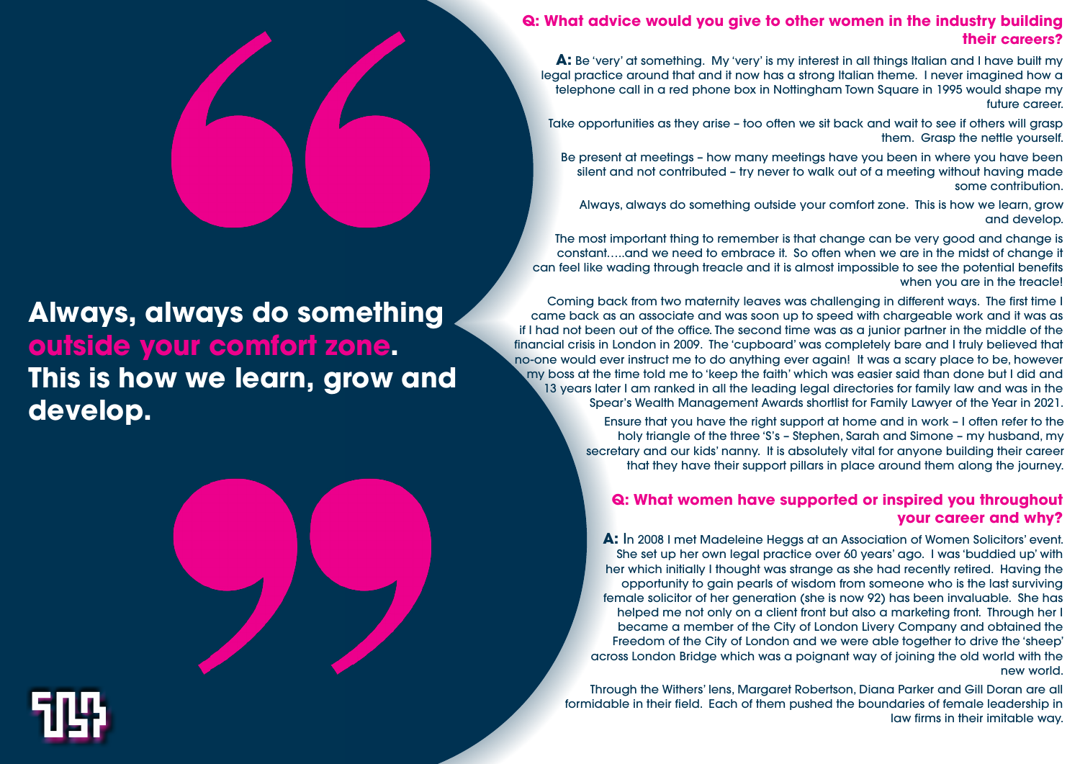#### **Q: What advice would you give to other women in the industry building their careers?**

**A:** Be 'very' at something. My 'very' is my interest in all things Italian and I have built my legal practice around that and it now has a strong Italian theme. I never imagined how a telephone call in a red phone box in Nottingham Town Square in 1995 would shape my future career.

The most important thing to remember is that change can be very good and change is constant…..and we need to embrace it. So often when we are in the midst of change it can feel like wading through treacle and it is almost impossible to see the potential benefits when you are in the treacle!

Take opportunities as they arise – too often we sit back and wait to see if others will grasp them. Grasp the nettle yourself.

Be present at meetings – how many meetings have you been in where you have been silent and not contributed – try never to walk out of a meeting without having made some contribution.

Always, always do something outside your comfort zone. This is how we learn, grow and develop.

Coming back from two maternity leaves was challenging in different ways. The first time I came back as an associate and was soon up to speed with chargeable work and it was as if I had not been out of the office. The second time was as a junior partner in the middle of the financial crisis in London in 2009. The 'cupboard' was completely bare and I truly believed that no-one would ever instruct me to do anything ever again! It was a scary place to be, however my boss at the time told me to 'keep the faith' which was easier said than done but I did and 13 years later I am ranked in all the leading legal directories for family law and was in the Spear's Wealth Management Awards shortlist for Family Lawyer of the Year in 2021.

> Ensure that you have the right support at home and in work – I often refer to the holy triangle of the three 'S's – Stephen, Sarah and Simone – my husband, my secretary and our kids' nanny. It is absolutely vital for anyone building their career that they have their support pillars in place around them along the journey.

#### **Q: What women have supported or inspired you throughout your career and why?**

**A:** In 2008 I met Madeleine Heggs at an Association of Women Solicitors' event. She set up her own legal practice over 60 years' ago. I was 'buddied up' with her which initially I thought was strange as she had recently retired. Having the opportunity to gain pearls of wisdom from someone who is the last surviving female solicitor of her generation (she is now 92) has been invaluable. She has helped me not only on a client front but also a marketing front. Through her I became a member of the City of London Livery Company and obtained the Freedom of the City of London and we were able together to drive the 'sheep' across London Bridge which was a poignant way of joining the old world with the new world.

Through the Withers' lens, Margaret Robertson, Diana Parker and Gill Doran are all formidable in their field. Each of them pushed the boundaries of female leadership in law firms in their imitable way.

## **Always, always do something outside your comfort zone. This is how we learn, grow and develop.**